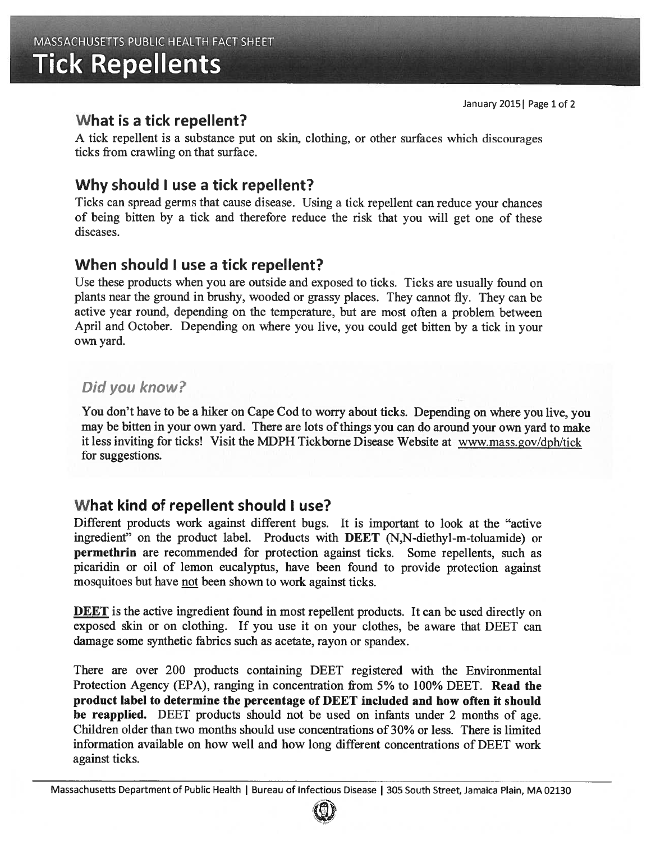# Tick Repellents

#### What is <sup>a</sup> tick repellent?

<sup>A</sup> tick repellent is <sup>a</sup> substance pu<sup>t</sup> on skin, clothing, or other surfaces which discourages ticks from crawling on that surface.

# Why should I use <sup>a</sup> tick repellent?

Ticks can spread germs that cause disease. Using <sup>a</sup> tick repellent can reduce your chances of being bitten by <sup>a</sup> tick and therefore reduce the risk that you will ge<sup>t</sup> one of these diseases.

## When should I use a tick repellent?

Use these products when you are outside and exposed to ticks. Ticks are usually found on <sup>p</sup>lants near the ground in brushy, wooded or grassy <sup>p</sup>laces. They cannot fly. They can be active year round, depending on the temperature, but are most often <sup>a</sup> problem between April and October. Depending on where you live, you could ge<sup>t</sup> bitten by <sup>a</sup> tick in your own yard.

# Did you know?

You don't have to be <sup>a</sup> hiker on Cape Cod to worry about ticks. Depending on where you live, you may be bitten in your own yard. There are lots of things you can do around your own yard to make it less inviting for ticks! Visit the MDPH Tickborne Disease Website at www.mass.gov/dph/tick for suggestions.

## What kind of repellent should I use?

Different products work against different bugs. It is important to look at the "active ingredient" on the product label. Products with BEET (N,N-diethyl-m-toluamide) or permethrin are recommended for protection against ticks. Some repellents, such as <sup>p</sup>icaridin or oil of lemon eucalyptus, have been found to provide protection against mosquitoes but have not been shown to work against ticks.

**DEET** is the active ingredient found in most repellent products. It can be used directly on exposed skin or on clothing. If you use it on your clothes, be aware that DEET can damage some synthetic fabrics such as acetate, rayon or spandex.

There are over 200 products containing DEET registered with the Environmental Protection Agency (EPA), ranging in concentration from 5% to 100% DEET. Read the product label to determine the percentage of DEET included and how often it should be reapplied. DEET products should not be used on infants under <sup>2</sup> months of age. Children older than two months should use concentrations of 30% or less. There is limited information available on how well and how long different concentrations of DEET work against ticks.